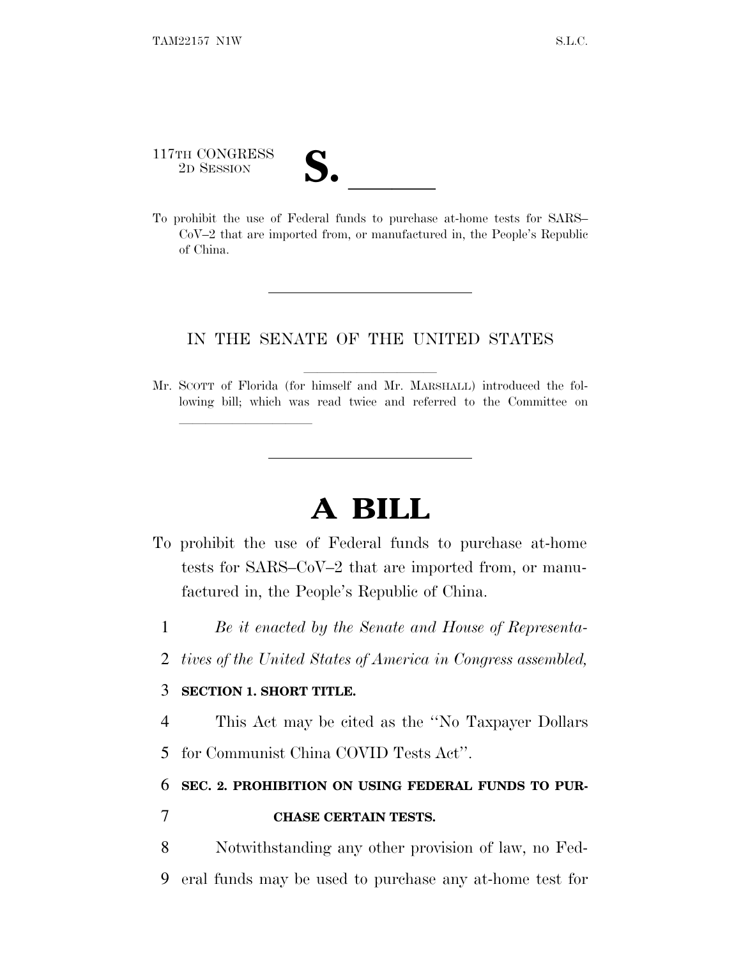117TH CONGRESS 117TH CONGRESS<br>
2D SESSION<br>
To prohibit the use of Federal funds to purchase at-home tests for SARS–

lland and a state of the state of the state of the state of the state of the state of the state of the state o

CoV–2 that are imported from, or manufactured in, the People's Republic of China.

## IN THE SENATE OF THE UNITED STATES

Mr. SCOTT of Florida (for himself and Mr. MARSHALL) introduced the following bill; which was read twice and referred to the Committee on

## **A BILL**

- To prohibit the use of Federal funds to purchase at-home tests for SARS–CoV–2 that are imported from, or manufactured in, the People's Republic of China.
	- 1 *Be it enacted by the Senate and House of Representa-*
	- 2 *tives of the United States of America in Congress assembled,*

## 3 **SECTION 1. SHORT TITLE.**

4 This Act may be cited as the ''No Taxpayer Dollars 5 for Communist China COVID Tests Act''.

## 6 **SEC. 2. PROHIBITION ON USING FEDERAL FUNDS TO PUR-**

- 7 **CHASE CERTAIN TESTS.**
- 8 Notwithstanding any other provision of law, no Fed-9 eral funds may be used to purchase any at-home test for